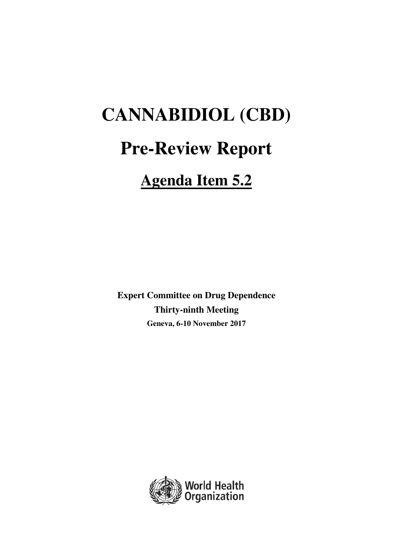# **CANNABIDIOL (CBD) Pre-Review Report Agenda Item 5.2**

**Expert Committee on Drug Dependence Thirty-ninth Meeting Geneva, 6-10 November 2017** 

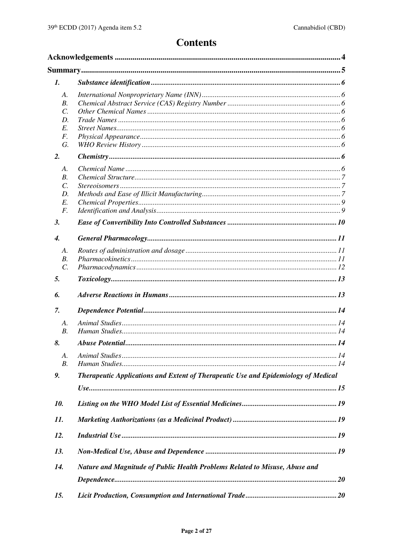# **Contents**

| $\boldsymbol{l}$ . |                                                                                    |  |  |
|--------------------|------------------------------------------------------------------------------------|--|--|
| A.                 |                                                                                    |  |  |
| B <sub>1</sub>     |                                                                                    |  |  |
| $\mathcal{C}$ .    |                                                                                    |  |  |
| D.                 |                                                                                    |  |  |
| E.                 |                                                                                    |  |  |
| F.                 |                                                                                    |  |  |
| G.                 |                                                                                    |  |  |
| 2.                 |                                                                                    |  |  |
| A.                 |                                                                                    |  |  |
| $B_{\cdot}$        |                                                                                    |  |  |
| $\mathcal{C}$ .    |                                                                                    |  |  |
| D.                 |                                                                                    |  |  |
| E.                 |                                                                                    |  |  |
| $F$ .              |                                                                                    |  |  |
| 3.                 |                                                                                    |  |  |
| $\boldsymbol{4}$ . |                                                                                    |  |  |
| A.                 |                                                                                    |  |  |
| <i>B</i> .         |                                                                                    |  |  |
| $\mathcal{C}$ .    |                                                                                    |  |  |
| 5.                 |                                                                                    |  |  |
| 6.                 |                                                                                    |  |  |
| 7.                 |                                                                                    |  |  |
| A.                 |                                                                                    |  |  |
| $B$ .              |                                                                                    |  |  |
| 8.                 |                                                                                    |  |  |
| А.                 |                                                                                    |  |  |
| B.                 |                                                                                    |  |  |
| 9.                 | Therapeutic Applications and Extent of Therapeutic Use and Epidemiology of Medical |  |  |
|                    |                                                                                    |  |  |
| 10.                |                                                                                    |  |  |
| 11.                |                                                                                    |  |  |
| 12.                |                                                                                    |  |  |
| 13.                |                                                                                    |  |  |
| 14.                | Nature and Magnitude of Public Health Problems Related to Misuse, Abuse and        |  |  |
|                    |                                                                                    |  |  |
| 15.                |                                                                                    |  |  |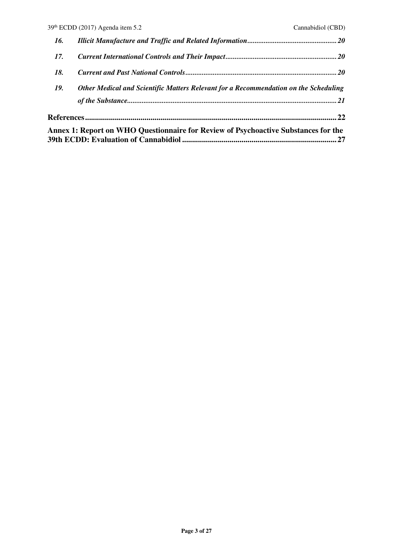|     | 39 <sup>th</sup> ECDD (2017) Agenda item 5.2                                         | Cannabidiol (CBD) |
|-----|--------------------------------------------------------------------------------------|-------------------|
| 16. |                                                                                      |                   |
| 17. |                                                                                      |                   |
| 18. |                                                                                      |                   |
| 19. | Other Medical and Scientific Matters Relevant for a Recommendation on the Scheduling |                   |
|     |                                                                                      | . 22              |
|     | Annex 1: Report on WHO Questionnaire for Review of Psychoactive Substances for the   | 27                |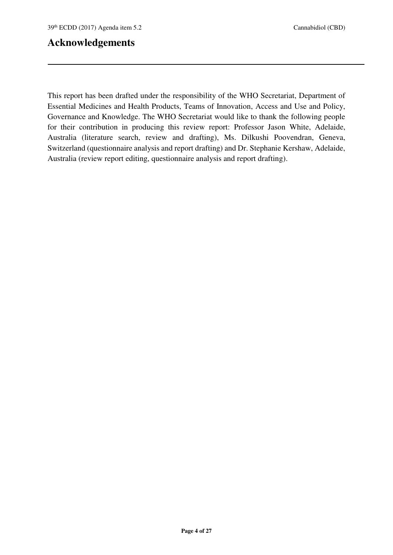# **Acknowledgements**

This report has been drafted under the responsibility of the WHO Secretariat, Department of Essential Medicines and Health Products, Teams of Innovation, Access and Use and Policy, Governance and Knowledge. The WHO Secretariat would like to thank the following people for their contribution in producing this review report: Professor Jason White, Adelaide, Australia (literature search, review and drafting), Ms. Dilkushi Poovendran, Geneva, Switzerland (questionnaire analysis and report drafting) and Dr. Stephanie Kershaw, Adelaide, Australia (review report editing, questionnaire analysis and report drafting).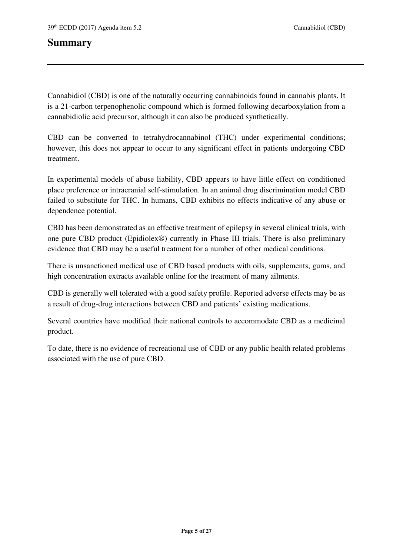## **Summary**

Cannabidiol (CBD) is one of the naturally occurring cannabinoids found in cannabis plants. It is a 21-carbon terpenophenolic compound which is formed following decarboxylation from a cannabidiolic acid precursor, although it can also be produced synthetically.

CBD can be converted to tetrahydrocannabinol (THC) under experimental conditions; however, this does not appear to occur to any significant effect in patients undergoing CBD treatment.

In experimental models of abuse liability, CBD appears to have little effect on conditioned place preference or intracranial self-stimulation. In an animal drug discrimination model CBD failed to substitute for THC. In humans, CBD exhibits no effects indicative of any abuse or dependence potential.

CBD has been demonstrated as an effective treatment of epilepsy in several clinical trials, with one pure CBD product (Epidiolex®) currently in Phase III trials. There is also preliminary evidence that CBD may be a useful treatment for a number of other medical conditions.

There is unsanctioned medical use of CBD based products with oils, supplements, gums, and high concentration extracts available online for the treatment of many ailments.

CBD is generally well tolerated with a good safety profile. Reported adverse effects may be as a result of drug-drug interactions between CBD and patients' existing medications.

Several countries have modified their national controls to accommodate CBD as a medicinal product.

To date, there is no evidence of recreational use of CBD or any public health related problems associated with the use of pure CBD.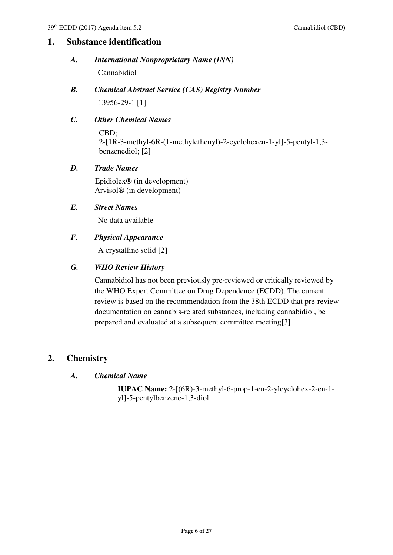#### **1. Substance identification**

- *A. International Nonproprietary Name (INN)*  Cannabidiol
- *B. Chemical Abstract Service (CAS) Registry Number*  13956-29-1 [1]

#### *C. Other Chemical Names*

CBD; 2-[1R-3-methyl-6R-(1-methylethenyl)-2-cyclohexen-1-yl]-5-pentyl-1,3 benzenediol; [2]

#### *D. Trade Names*

 Epidiolex® (in development) Arvisol® (in development)

#### *E. Street Names*

No data available

#### *F. Physical Appearance*

A crystalline solid [2]

#### *G. WHO Review History*

Cannabidiol has not been previously pre-reviewed or critically reviewed by the WHO Expert Committee on Drug Dependence (ECDD). The current review is based on the recommendation from the 38th ECDD that pre-review documentation on cannabis-related substances, including cannabidiol, be prepared and evaluated at a subsequent committee meeting[3].

#### **2. Chemistry**

#### *A. Chemical Name*

**IUPAC Name:** 2-[(6R)-3-methyl-6-prop-1-en-2-ylcyclohex-2-en-1 yl]-5-pentylbenzene-1,3-diol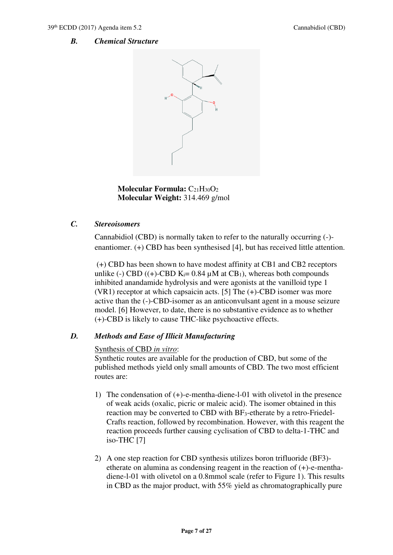#### *B. Chemical Structure*



**Molecular Formula:**  $C_{21}H_{30}O_2$ **Molecular Weight:** 314.469 g/mol

#### *C. Stereoisomers*

Cannabidiol (CBD) is normally taken to refer to the naturally occurring (-) enantiomer. (+) CBD has been synthesised [4], but has received little attention.

 (+) CBD has been shown to have modest affinity at CB1 and CB2 receptors unlike (-) CBD ((+)-CBD  $K_i = 0.84 \mu M$  at CB<sub>1</sub>), whereas both compounds inhibited anandamide hydrolysis and were agonists at the vanilloid type 1 (VR1) receptor at which capsaicin acts. [5] The (+)-CBD isomer was more active than the (-)-CBD-isomer as an anticonvulsant agent in a mouse seizure model. [6] However, to date, there is no substantive evidence as to whether (+)-CBD is likely to cause THC-like psychoactive effects.

#### *D. Methods and Ease of Illicit Manufacturing*

#### Synthesis of CBD *in vitro*:

Synthetic routes are available for the production of CBD, but some of the published methods yield only small amounts of CBD. The two most efficient routes are:

- 1) The condensation of (+)-e-mentha-diene-l-01 with olivetol in the presence of weak acids (oxalic, picric or maleic acid). The isomer obtained in this reaction may be converted to CBD with BF3-etherate by a retro-Friedel-Crafts reaction, followed by recombination. However, with this reagent the reaction proceeds further causing cyclisation of CBD to delta-1-THC and iso-THC [7]
- 2) A one step reaction for CBD synthesis utilizes boron trifluoride (BF3) etherate on alumina as condensing reagent in the reaction of (+)-e-menthadiene-l-01 with olivetol on a 0.8mmol scale (refer to Figure 1). This results in CBD as the major product, with 55% yield as chromatographically pure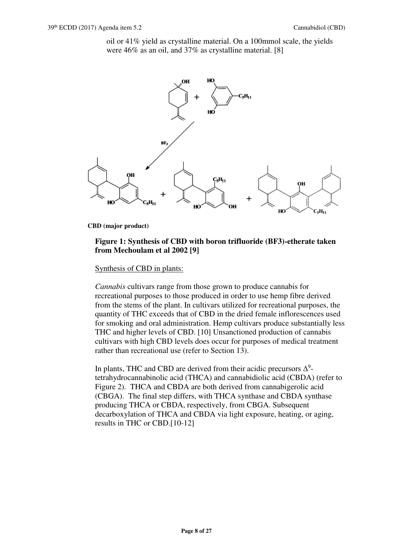oil or 41% yield as crystalline material. On a 100mmol scale, the yields were 46% as an oil, and 37% as crystalline material. [8]



**CBD (major product)** 

#### **Figure 1: Synthesis of CBD with boron trifluoride (BF3)-etherate taken from Mechoulam et al 2002 [9]**

#### Synthesis of CBD in plants:

*Cannabis* cultivars range from those grown to produce cannabis for recreational purposes to those produced in order to use hemp fibre derived from the stems of the plant. In cultivars utilized for recreational purposes, the quantity of THC exceeds that of CBD in the dried female inflorescences used for smoking and oral administration. Hemp cultivars produce substantially less THC and higher levels of CBD. [10] Unsanctioned production of cannabis cultivars with high CBD levels does occur for purposes of medical treatment rather than recreational use (refer to Section 13).

In plants, THC and CBD are derived from their acidic precursors  $\Delta^9$ tetrahydrocannabinolic acid (THCA) and cannabidiolic acid (CBDA) (refer to Figure 2). THCA and CBDA are both derived from cannabigerolic acid (CBGA). The final step differs, with THCA synthase and CBDA synthase producing THCA or CBDA, respectively, from CBGA. Subsequent decarboxylation of THCA and CBDA via light exposure, heating, or aging, results in THC or CBD.[10-12]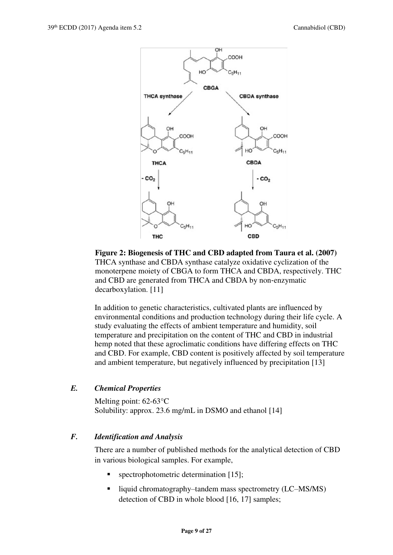

**Figure 2: Biogenesis of THC and CBD adapted from Taura et al. (2007)** THCA synthase and CBDA synthase catalyze oxidative cyclization of the monoterpene moiety of CBGA to form THCA and CBDA, respectively. THC and CBD are generated from THCA and CBDA by non‐enzymatic decarboxylation. [11]

In addition to genetic characteristics, cultivated plants are influenced by environmental conditions and production technology during their life cycle. A study evaluating the effects of ambient temperature and humidity, soil temperature and precipitation on the content of THC and CBD in industrial hemp noted that these agroclimatic conditions have differing effects on THC and CBD. For example, CBD content is positively affected by soil temperature and ambient temperature, but negatively influenced by precipitation [13]

#### *E. Chemical Properties*

Melting point: 62-63°C Solubility: approx. 23.6 mg/mL in DSMO and ethanol [14]

#### *F. Identification and Analysis*

There are a number of published methods for the analytical detection of CBD in various biological samples. For example,

- **•** spectrophotometric determination  $[15]$ ;
- liquid chromatography–tandem mass spectrometry (LC–MS/MS) detection of CBD in whole blood [16, 17] samples;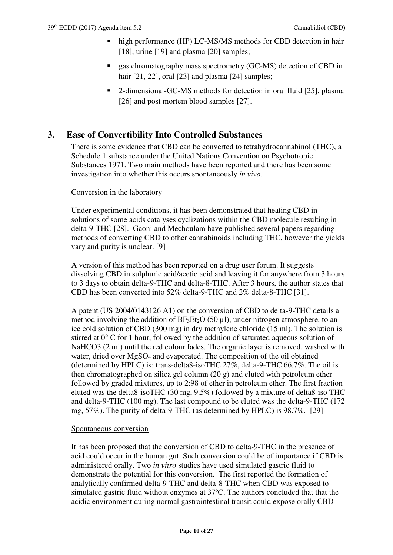- high performance (HP) LC-MS/MS methods for CBD detection in hair [18], urine [19] and plasma [20] samples;
- gas chromatography mass spectrometry (GC-MS) detection of CBD in hair [21, 22], oral [23] and plasma [24] samples;
- 2-dimensional-GC-MS methods for detection in oral fluid [25], plasma [26] and post mortem blood samples [27].

## **3. Ease of Convertibility Into Controlled Substances**

There is some evidence that CBD can be converted to tetrahydrocannabinol (THC), a Schedule 1 substance under the United Nations Convention on Psychotropic Substances 1971. Two main methods have been reported and there has been some investigation into whether this occurs spontaneously *in vivo*.

#### Conversion in the laboratory

Under experimental conditions, it has been demonstrated that heating CBD in solutions of some acids catalyses cyclizations within the CBD molecule resulting in delta-9-THC [28]. Gaoni and Mechoulam have published several papers regarding methods of converting CBD to other cannabinoids including THC, however the yields vary and purity is unclear. [9]

A version of this method has been reported on a drug user forum. It suggests dissolving CBD in sulphuric acid/acetic acid and leaving it for anywhere from 3 hours to 3 days to obtain delta-9-THC and delta-8-THC. After 3 hours, the author states that CBD has been converted into 52% delta-9-THC and 2% delta-8-THC [31].

A patent (US 2004/0143126 A1) on the conversion of CBD to delta-9-THC details a method involving the addition of  $BF_3Et_2O(50 \mu l)$ , under nitrogen atmosphere, to an ice cold solution of CBD (300 mg) in dry methylene chloride (15 ml). The solution is stirred at 0° C for 1 hour, followed by the addition of saturated aqueous solution of NaHCO3 (2 ml) until the red colour fades. The organic layer is removed, washed with water, dried over  $MgSO_4$  and evaporated. The composition of the oil obtained (determined by HPLC) is: trans-delta8-isoTHC 27%, delta-9-THC 66.7%. The oil is then chromatographed on silica gel column (20 g) and eluted with petroleum ether followed by graded mixtures, up to 2:98 of ether in petroleum ether. The first fraction eluted was the delta8-isoTHC (30 mg, 9.5%) followed by a mixture of delta8-iso THC and delta-9-THC (100 mg). The last compound to be eluted was the delta-9-THC (172 mg, 57%). The purity of delta-9-THC (as determined by HPLC) is 98.7%. [29]

#### Spontaneous conversion

It has been proposed that the conversion of CBD to delta-9-THC in the presence of acid could occur in the human gut. Such conversion could be of importance if CBD is administered orally. Two *in vitro* studies have used simulated gastric fluid to demonstrate the potential for this conversion. The first reported the formation of analytically confirmed delta-9-THC and delta-8-THC when CBD was exposed to simulated gastric fluid without enzymes at 37ºC. The authors concluded that that the acidic environment during normal gastrointestinal transit could expose orally CBD-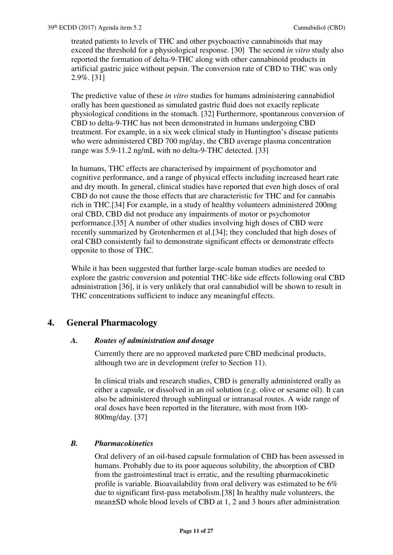treated patients to levels of THC and other psychoactive cannabinoids that may exceed the threshold for a physiological response. [30] The second *in vitro* study also reported the formation of delta-9-THC along with other cannabinoid products in artificial gastric juice without pepsin. The conversion rate of CBD to THC was only 2.9%. [31]

The predictive value of these *in vitro* studies for humans administering cannabidiol orally has been questioned as simulated gastric fluid does not exactly replicate physiological conditions in the stomach. [32] Furthermore, spontaneous conversion of CBD to delta-9-THC has not been demonstrated in humans undergoing CBD treatment. For example, in a six week clinical study in Huntington's disease patients who were administered CBD 700 mg/day, the CBD average plasma concentration range was 5.9-11.2 ng/mL with no delta-9-THC detected. [33]

In humans, THC effects are characterised by impairment of psychomotor and cognitive performance, and a range of physical effects including increased heart rate and dry mouth. In general, clinical studies have reported that even high doses of oral CBD do not cause the those effects that are characteristic for THC and for cannabis rich in THC.[34] For example, in a study of healthy volunteers administered 200mg oral CBD, CBD did not produce any impairments of motor or psychomotor performance.[35] A number of other studies involving high doses of CBD were recently summarized by Grotenhermen et al.[34]; they concluded that high doses of oral CBD consistently fail to demonstrate significant effects or demonstrate effects opposite to those of THC.

While it has been suggested that further large-scale human studies are needed to explore the gastric conversion and potential THC-like side effects following oral CBD administration [36], it is very unlikely that oral cannabidiol will be shown to result in THC concentrations sufficient to induce any meaningful effects.

#### **4. General Pharmacology**

#### *A. Routes of administration and dosage*

Currently there are no approved marketed pure CBD medicinal products, although two are in development (refer to Section 11).

In clinical trials and research studies, CBD is generally administered orally as either a capsule, or dissolved in an oil solution (e.g. olive or sesame oil). It can also be administered through sublingual or intranasal routes. A wide range of oral doses have been reported in the literature, with most from 100- 800mg/day. [37]

#### *B. Pharmacokinetics*

Oral delivery of an oil-based capsule formulation of CBD has been assessed in humans. Probably due to its poor aqueous solubility, the absorption of CBD from the gastrointestinal tract is erratic, and the resulting pharmacokinetic profile is variable. Bioavailability from oral delivery was estimated to be 6% due to significant first-pass metabolism.[38] In healthy male volunteers, the mean±SD whole blood levels of CBD at 1, 2 and 3 hours after administration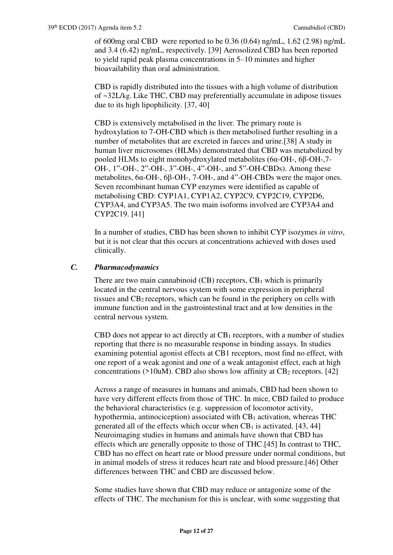of 600mg oral CBD were reported to be 0.36 (0.64) ng/mL, 1.62 (2.98) ng/mL and 3.4 (6.42) ng/mL, respectively. [39] Aerosolized CBD has been reported to yield rapid peak plasma concentrations in 5–10 minutes and higher bioavailability than oral administration.

CBD is rapidly distributed into the tissues with a high volume of distribution of ~32L/kg. Like THC, CBD may preferentially accumulate in adipose tissues due to its high lipophilicity. [37, 40]

CBD is extensively metabolised in the liver. The primary route is hydroxylation to 7-OH-CBD which is then metabolised further resulting in a number of metabolites that are excreted in faeces and urine.[38] A study in human liver microsomes (HLMs) demonstrated that CBD was metabolized by pooled HLMs to eight monohydroxylated metabolites (6α-OH-, 6β-OH-,7- OH-, 1"-OH-, 2"-OH-, 3"-OH-, 4"-OH-, and 5"-OH-CBDs). Among these metabolites, 6α-OH-, 6β-OH-, 7-OH-, and 4"-OH-CBDs were the major ones. Seven recombinant human CYP enzymes were identified as capable of metabolising CBD: CYP1A1, CYP1A2, CYP2C9, CYP2C19, CYP2D6, CYP3A4, and CYP3A5. The two main isoforms involved are CYP3A4 and CYP2C19. [41]

In a number of studies, CBD has been shown to inhibit CYP isozymes *in vitro*, but it is not clear that this occurs at concentrations achieved with doses used clinically.

#### *C. Pharmacodynamics*

There are two main cannabinoid  $(CB)$  receptors,  $CB<sub>1</sub>$  which is primarily located in the central nervous system with some expression in peripheral tissues and CB2 receptors, which can be found in the periphery on cells with immune function and in the gastrointestinal tract and at low densities in the central nervous system.

CBD does not appear to act directly at  $CB_1$  receptors, with a number of studies reporting that there is no measurable response in binding assays. In studies examining potential agonist effects at CB1 receptors, most find no effect, with one report of a weak agonist and one of a weak antagonist effect, each at high concentrations ( $>10$ uM). CBD also shows low affinity at CB<sub>2</sub> receptors. [42]

Across a range of measures in humans and animals, CBD had been shown to have very different effects from those of THC. In mice, CBD failed to produce the behavioral characteristics (e.g. suppression of locomotor activity, hypothermia, antinociception) associated with  $CB<sub>1</sub>$  activation, whereas THC generated all of the effects which occur when  $CB_1$  is activated. [43, 44] Neuroimaging studies in humans and animals have shown that CBD has effects which are generally opposite to those of THC.[45] In contrast to THC, CBD has no effect on heart rate or blood pressure under normal conditions, but in animal models of stress it reduces heart rate and blood pressure.[46] Other differences between THC and CBD are discussed below.

Some studies have shown that CBD may reduce or antagonize some of the effects of THC. The mechanism for this is unclear, with some suggesting that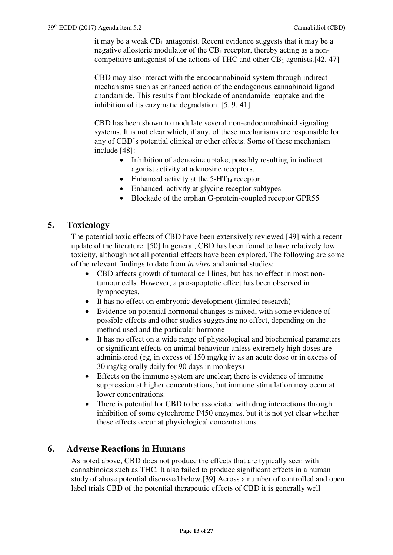it may be a weak  $CB_1$  antagonist. Recent evidence suggests that it may be a negative allosteric modulator of the  $CB_1$  receptor, thereby acting as a noncompetitive antagonist of the actions of THC and other  $CB<sub>1</sub>$  agonists.[42, 47]

CBD may also interact with the endocannabinoid system through indirect mechanisms such as enhanced action of the endogenous cannabinoid ligand anandamide. This results from blockade of anandamide reuptake and the inhibition of its enzymatic degradation. [5, 9, 41]

CBD has been shown to modulate several non-endocannabinoid signaling systems. It is not clear which, if any, of these mechanisms are responsible for any of CBD's potential clinical or other effects. Some of these mechanism include [48]:

- Inhibition of adenosine uptake, possibly resulting in indirect agonist activity at adenosine receptors.
- Enhanced activity at the  $5-HT_{1a}$  receptor.
- Enhanced activity at glycine receptor subtypes
- Blockade of the orphan G-protein-coupled receptor GPR55

#### **5. Toxicology**

The potential toxic effects of CBD have been extensively reviewed [49] with a recent update of the literature. [50] In general, CBD has been found to have relatively low toxicity, although not all potential effects have been explored. The following are some of the relevant findings to date from *in vitro* and animal studies:

- CBD affects growth of tumoral cell lines, but has no effect in most nontumour cells. However, a pro-apoptotic effect has been observed in lymphocytes.
- It has no effect on embryonic development (limited research)
- Evidence on potential hormonal changes is mixed, with some evidence of possible effects and other studies suggesting no effect, depending on the method used and the particular hormone
- It has no effect on a wide range of physiological and biochemical parameters or significant effects on animal behaviour unless extremely high doses are administered (eg, in excess of 150 mg/kg iv as an acute dose or in excess of 30 mg/kg orally daily for 90 days in monkeys)
- Effects on the immune system are unclear; there is evidence of immune suppression at higher concentrations, but immune stimulation may occur at lower concentrations.
- There is potential for CBD to be associated with drug interactions through inhibition of some cytochrome P450 enzymes, but it is not yet clear whether these effects occur at physiological concentrations.

#### **6. Adverse Reactions in Humans**

As noted above, CBD does not produce the effects that are typically seen with cannabinoids such as THC. It also failed to produce significant effects in a human study of abuse potential discussed below.[39] Across a number of controlled and open label trials CBD of the potential therapeutic effects of CBD it is generally well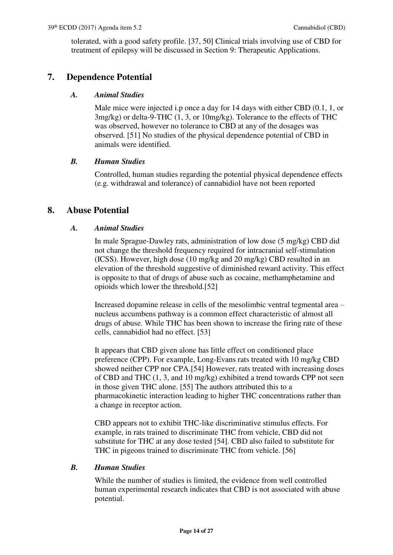tolerated, with a good safety profile. [37, 50] Clinical trials involving use of CBD for treatment of epilepsy will be discussed in Section 9: Therapeutic Applications.

#### **7. Dependence Potential**

#### *A. Animal Studies*

Male mice were injected i.p once a day for 14 days with either CBD (0.1, 1, or 3mg/kg) or delta-9-THC (1, 3, or 10mg/kg). Tolerance to the effects of THC was observed, however no tolerance to CBD at any of the dosages was observed. [51] No studies of the physical dependence potential of CBD in animals were identified.

#### *B. Human Studies*

Controlled, human studies regarding the potential physical dependence effects (e.g. withdrawal and tolerance) of cannabidiol have not been reported

#### **8. Abuse Potential**

#### *A. Animal Studies*

In male Sprague-Dawley rats, administration of low dose (5 mg/kg) CBD did not change the threshold frequency required for intracranial self-stimulation (ICSS). However, high dose (10 mg/kg and 20 mg/kg) CBD resulted in an elevation of the threshold suggestive of diminished reward activity. This effect is opposite to that of drugs of abuse such as cocaine, methamphetamine and opioids which lower the threshold.[52]

Increased dopamine release in cells of the mesolimbic ventral tegmental area – nucleus accumbens pathway is a common effect characteristic of almost all drugs of abuse. While THC has been shown to increase the firing rate of these cells, cannabidiol had no effect. [53]

It appears that CBD given alone has little effect on conditioned place preference (CPP). For example, Long-Evans rats treated with 10 mg/kg CBD showed neither CPP nor CPA.[54] However, rats treated with increasing doses of CBD and THC (1, 3, and 10 mg/kg) exhibited a trend towards CPP not seen in those given THC alone. [55] The authors attributed this to a pharmacokinetic interaction leading to higher THC concentrations rather than a change in receptor action.

CBD appears not to exhibit THC-like discriminative stimulus effects. For example, in rats trained to discriminate THC from vehicle, CBD did not substitute for THC at any dose tested [54]. CBD also failed to substitute for THC in pigeons trained to discriminate THC from vehicle. [56]

#### *B. Human Studies*

While the number of studies is limited, the evidence from well controlled human experimental research indicates that CBD is not associated with abuse potential.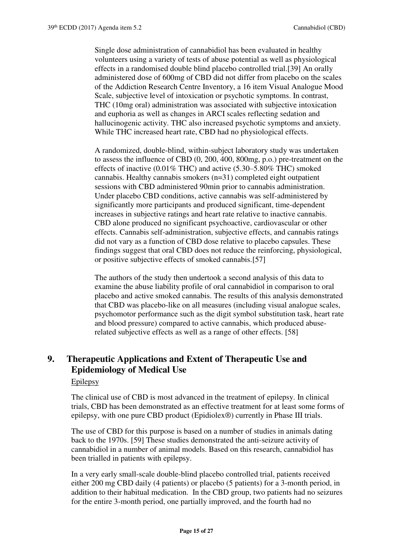Single dose administration of cannabidiol has been evaluated in healthy volunteers using a variety of tests of abuse potential as well as physiological effects in a randomised double blind placebo controlled trial.[39] An orally administered dose of 600mg of CBD did not differ from placebo on the scales of the Addiction Research Centre Inventory, a 16 item Visual Analogue Mood Scale, subjective level of intoxication or psychotic symptoms. In contrast, THC (10mg oral) administration was associated with subjective intoxication and euphoria as well as changes in ARCI scales reflecting sedation and hallucinogenic activity. THC also increased psychotic symptoms and anxiety. While THC increased heart rate, CBD had no physiological effects.

A randomized, double-blind, within-subject laboratory study was undertaken to assess the influence of CBD (0, 200, 400, 800mg, p.o.) pre-treatment on the effects of inactive (0.01% THC) and active (5.30–5.80% THC) smoked cannabis. Healthy cannabis smokers (n=31) completed eight outpatient sessions with CBD administered 90min prior to cannabis administration. Under placebo CBD conditions, active cannabis was self-administered by significantly more participants and produced significant, time-dependent increases in subjective ratings and heart rate relative to inactive cannabis. CBD alone produced no significant psychoactive, cardiovascular or other effects. Cannabis self-administration, subjective effects, and cannabis ratings did not vary as a function of CBD dose relative to placebo capsules. These findings suggest that oral CBD does not reduce the reinforcing, physiological, or positive subjective effects of smoked cannabis.[57]

The authors of the study then undertook a second analysis of this data to examine the abuse liability profile of oral cannabidiol in comparison to oral placebo and active smoked cannabis. The results of this analysis demonstrated that CBD was placebo-like on all measures (including visual analogue scales, psychomotor performance such as the digit symbol substitution task, heart rate and blood pressure) compared to active cannabis, which produced abuserelated subjective effects as well as a range of other effects. [58]

## **9. Therapeutic Applications and Extent of Therapeutic Use and Epidemiology of Medical Use**

Epilepsy

The clinical use of CBD is most advanced in the treatment of epilepsy. In clinical trials, CBD has been demonstrated as an effective treatment for at least some forms of epilepsy, with one pure CBD product (Epidiolex®) currently in Phase III trials.

The use of CBD for this purpose is based on a number of studies in animals dating back to the 1970s. [59] These studies demonstrated the anti-seizure activity of cannabidiol in a number of animal models. Based on this research, cannabidiol has been trialled in patients with epilepsy.

In a very early small-scale double-blind placebo controlled trial, patients received either 200 mg CBD daily (4 patients) or placebo (5 patients) for a 3-month period, in addition to their habitual medication. In the CBD group, two patients had no seizures for the entire 3-month period, one partially improved, and the fourth had no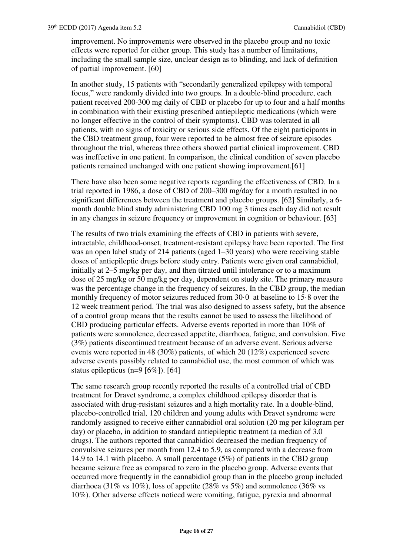improvement. No improvements were observed in the placebo group and no toxic effects were reported for either group. This study has a number of limitations, including the small sample size, unclear design as to blinding, and lack of definition of partial improvement. [60]

In another study, 15 patients with "secondarily generalized epilepsy with temporal focus," were randomly divided into two groups. In a double-blind procedure, each patient received 200-300 mg daily of CBD or placebo for up to four and a half months in combination with their existing prescribed antiepileptic medications (which were no longer effective in the control of their symptoms). CBD was tolerated in all patients, with no signs of toxicity or serious side effects. Of the eight participants in the CBD treatment group, four were reported to be almost free of seizure episodes throughout the trial, whereas three others showed partial clinical improvement. CBD was ineffective in one patient. In comparison, the clinical condition of seven placebo patients remained unchanged with one patient showing improvement.[61]

There have also been some negative reports regarding the effectiveness of CBD. In a trial reported in 1986, a dose of CBD of 200–300 mg/day for a month resulted in no significant differences between the treatment and placebo groups. [62] Similarly, a 6 month double blind study administering CBD 100 mg 3 times each day did not result in any changes in seizure frequency or improvement in cognition or behaviour. [63]

The results of two trials examining the effects of CBD in patients with severe, intractable, childhood-onset, treatment-resistant epilepsy have been reported. The first was an open label study of 214 patients (aged 1–30 years) who were receiving stable doses of antiepileptic drugs before study entry. Patients were given oral cannabidiol, initially at 2–5 mg/kg per day, and then titrated until intolerance or to a maximum dose of 25 mg/kg or 50 mg/kg per day, dependent on study site. The primary measure was the percentage change in the frequency of seizures. In the CBD group, the median monthly frequency of motor seizures reduced from 30·0 at baseline to 15·8 over the 12 week treatment period. The trial was also designed to assess safety, but the absence of a control group means that the results cannot be used to assess the likelihood of CBD producing particular effects. Adverse events reported in more than 10% of patients were somnolence, decreased appetite, diarrhoea, fatigue, and convulsion. Five (3%) patients discontinued treatment because of an adverse event. Serious adverse events were reported in 48 (30%) patients, of which 20 (12%) experienced severe adverse events possibly related to cannabidiol use, the most common of which was status epilepticus (n=9 [6%]). [64]

The same research group recently reported the results of a controlled trial of CBD treatment for Dravet syndrome, a complex childhood epilepsy disorder that is associated with drug-resistant seizures and a high mortality rate. In a double-blind, placebo-controlled trial, 120 children and young adults with Dravet syndrome were randomly assigned to receive either cannabidiol oral solution (20 mg per kilogram per day) or placebo, in addition to standard antiepileptic treatment (a median of 3.0 drugs). The authors reported that cannabidiol decreased the median frequency of convulsive seizures per month from 12.4 to 5.9, as compared with a decrease from 14.9 to 14.1 with placebo. A small percentage (5%) of patients in the CBD group became seizure free as compared to zero in the placebo group. Adverse events that occurred more frequently in the cannabidiol group than in the placebo group included diarrhoea (31% vs 10%), loss of appetite (28% vs 5%) and somnolence (36% vs 10%). Other adverse effects noticed were vomiting, fatigue, pyrexia and abnormal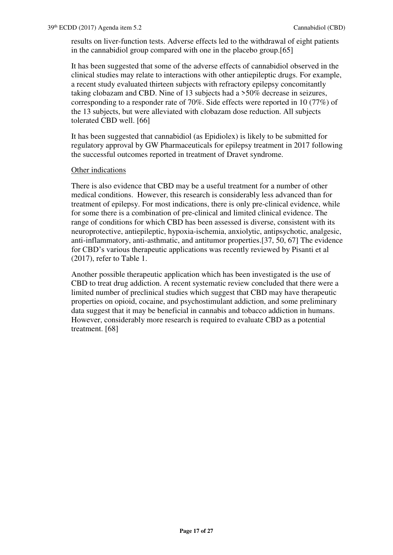results on liver-function tests. Adverse effects led to the withdrawal of eight patients in the cannabidiol group compared with one in the placebo group.[65]

It has been suggested that some of the adverse effects of cannabidiol observed in the clinical studies may relate to interactions with other antiepileptic drugs. For example, a recent study evaluated thirteen subjects with refractory epilepsy concomitantly taking clobazam and CBD. Nine of 13 subjects had a >50% decrease in seizures, corresponding to a responder rate of 70%. Side effects were reported in 10 (77%) of the 13 subjects, but were alleviated with clobazam dose reduction. All subjects tolerated CBD well. [66]

It has been suggested that cannabidiol (as Epidiolex) is likely to be submitted for regulatory approval by GW Pharmaceuticals for epilepsy treatment in 2017 following the successful outcomes reported in treatment of Dravet syndrome.

#### Other indications

There is also evidence that CBD may be a useful treatment for a number of other medical conditions. However, this research is considerably less advanced than for treatment of epilepsy. For most indications, there is only pre-clinical evidence, while for some there is a combination of pre-clinical and limited clinical evidence. The range of conditions for which CBD has been assessed is diverse, consistent with its neuroprotective, antiepileptic, hypoxia-ischemia, anxiolytic, antipsychotic, analgesic, anti-inflammatory, anti-asthmatic, and antitumor properties.[37, 50, 67] The evidence for CBD's various therapeutic applications was recently reviewed by Pisanti et al (2017), refer to Table 1.

Another possible therapeutic application which has been investigated is the use of CBD to treat drug addiction. A recent systematic review concluded that there were a limited number of preclinical studies which suggest that CBD may have therapeutic properties on opioid, cocaine, and psychostimulant addiction, and some preliminary data suggest that it may be beneficial in cannabis and tobacco addiction in humans. However, considerably more research is required to evaluate CBD as a potential treatment. [68]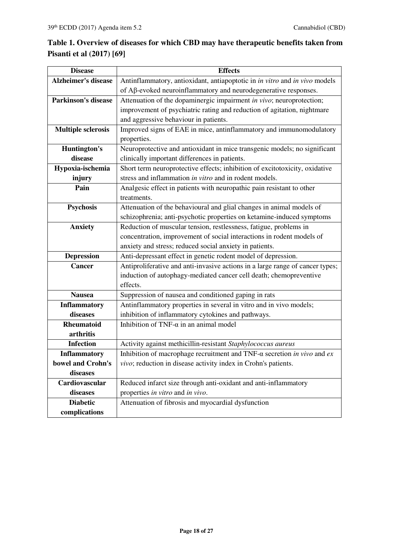## **Table 1. Overview of diseases for which CBD may have therapeutic benefits taken from Pisanti et al (2017) [69]**

| <b>Disease</b>             | <b>Effects</b>                                                                    |
|----------------------------|-----------------------------------------------------------------------------------|
| <b>Alzheimer's disease</b> | Antinflammatory, antioxidant, antiapoptotic in in vitro and in vivo models        |
|                            | of Aβ-evoked neuroinflammatory and neurodegenerative responses.                   |
| <b>Parkinson's disease</b> | Attenuation of the dopaminergic impairment in vivo; neuroprotection;              |
|                            | improvement of psychiatric rating and reduction of agitation, nightmare           |
|                            | and aggressive behaviour in patients.                                             |
| <b>Multiple sclerosis</b>  | Improved signs of EAE in mice, antinflammatory and immunomodulatory               |
|                            | properties.                                                                       |
| Huntington's               | Neuroprotective and antioxidant in mice transgenic models; no significant         |
| disease                    | clinically important differences in patients.                                     |
| Hypoxia-ischemia           | Short term neuroprotective effects; inhibition of excitotoxicity, oxidative       |
| injury                     | stress and inflammation in vitro and in rodent models.                            |
| Pain                       | Analgesic effect in patients with neuropathic pain resistant to other             |
|                            | treatments.                                                                       |
| <b>Psychosis</b>           | Attenuation of the behavioural and glial changes in animal models of              |
|                            | schizophrenia; anti-psychotic properties on ketamine-induced symptoms             |
| <b>Anxiety</b>             | Reduction of muscular tension, restlessness, fatigue, problems in                 |
|                            | concentration, improvement of social interactions in rodent models of             |
|                            | anxiety and stress; reduced social anxiety in patients.                           |
| <b>Depression</b>          | Anti-depressant effect in genetic rodent model of depression.                     |
| <b>Cancer</b>              | Antiproliferative and anti-invasive actions in a large range of cancer types;     |
|                            | induction of autophagy-mediated cancer cell death; chemopreventive                |
|                            | effects.                                                                          |
| <b>Nausea</b>              | Suppression of nausea and conditioned gaping in rats                              |
| <b>Inflammatory</b>        | Antinflammatory properties in several in vitro and in vivo models;                |
| diseases                   | inhibition of inflammatory cytokines and pathways.                                |
| <b>Rheumatoid</b>          | Inhibition of TNF- $\alpha$ in an animal model                                    |
| arthritis                  |                                                                                   |
| <b>Infection</b>           | Activity against methicillin-resistant Staphylococcus aureus                      |
| <b>Inflammatory</b>        | Inhibition of macrophage recruitment and TNF- $\alpha$ secretion in vivo and $ex$ |
| bowel and Crohn's          | vivo; reduction in disease activity index in Crohn's patients.                    |
| diseases                   |                                                                                   |
| Cardiovascular             | Reduced infarct size through anti-oxidant and anti-inflammatory                   |
| diseases                   | properties in vitro and in vivo.                                                  |
| <b>Diabetic</b>            | Attenuation of fibrosis and myocardial dysfunction                                |
| complications              |                                                                                   |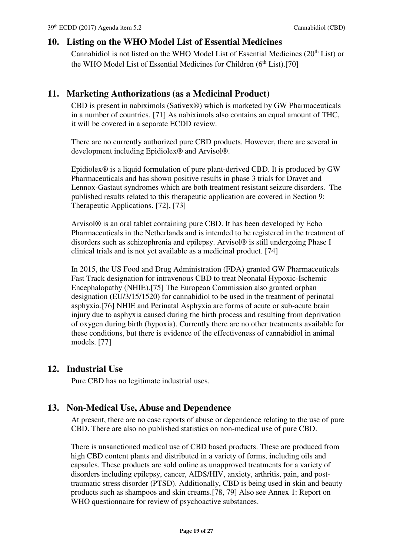#### **10. Listing on the WHO Model List of Essential Medicines**

Cannabidiol is not listed on the WHO Model List of Essential Medicines (20th List) or the WHO Model List of Essential Medicines for Children  $(6<sup>th</sup> List)$ .[70]

### **11. Marketing Authorizations (as a Medicinal Product)**

CBD is present in nabiximols (Sativex®) which is marketed by GW Pharmaceuticals in a number of countries. [71] As nabiximols also contains an equal amount of THC, it will be covered in a separate ECDD review.

There are no currently authorized pure CBD products. However, there are several in development including Epidiolex® and Arvisol®.

Epidiolex® is a liquid formulation of pure plant-derived CBD. It is produced by GW Pharmaceuticals and has shown positive results in phase 3 trials for Dravet and Lennox-Gastaut syndromes which are both treatment resistant seizure disorders. The published results related to this therapeutic application are covered in Section 9: Therapeutic Applications. [72], [73]

Arvisol® is an oral tablet containing pure CBD. It has been developed by Echo Pharmaceuticals in the Netherlands and is intended to be registered in the treatment of disorders such as schizophrenia and epilepsy. Arvisol® is still undergoing Phase I clinical trials and is not yet available as a medicinal product. [74]

In 2015, the US Food and Drug Administration (FDA) granted GW Pharmaceuticals Fast Track designation for intravenous CBD to treat Neonatal Hypoxic-Ischemic Encephalopathy (NHIE).[75] The European Commission also granted orphan designation (EU/3/15/1520) for cannabidiol to be used in the treatment of perinatal asphyxia.[76] NHIE and Perinatal Asphyxia are forms of acute or sub-acute brain injury due to asphyxia caused during the birth process and resulting from deprivation of oxygen during birth (hypoxia). Currently there are no other treatments available for these conditions, but there is evidence of the effectiveness of cannabidiol in animal models. [77]

#### **12. Industrial Use**

Pure CBD has no legitimate industrial uses.

## **13. Non-Medical Use, Abuse and Dependence**

At present, there are no case reports of abuse or dependence relating to the use of pure CBD. There are also no published statistics on non-medical use of pure CBD.

There is unsanctioned medical use of CBD based products. These are produced from high CBD content plants and distributed in a variety of forms, including oils and capsules. These products are sold online as unapproved treatments for a variety of disorders including epilepsy, cancer, AIDS/HIV, anxiety, arthritis, pain, and posttraumatic stress disorder (PTSD). Additionally, CBD is being used in skin and beauty products such as shampoos and skin creams.[78, 79] Also see Annex 1: Report on WHO questionnaire for review of psychoactive substances.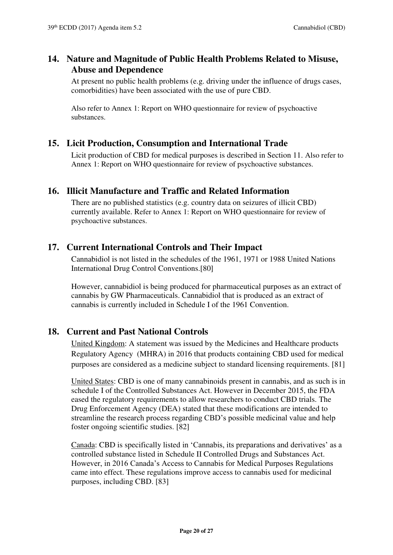## **14. Nature and Magnitude of Public Health Problems Related to Misuse, Abuse and Dependence**

At present no public health problems (e.g. driving under the influence of drugs cases, comorbidities) have been associated with the use of pure CBD.

Also refer to Annex 1: Report on WHO questionnaire for review of psychoactive substances.

#### **15. Licit Production, Consumption and International Trade**

Licit production of CBD for medical purposes is described in Section 11. Also refer to Annex 1: Report on WHO questionnaire for review of psychoactive substances.

#### **16. Illicit Manufacture and Traffic and Related Information**

There are no published statistics (e.g. country data on seizures of illicit CBD) currently available. Refer to Annex 1: Report on WHO questionnaire for review of psychoactive substances.

#### **17. Current International Controls and Their Impact**

Cannabidiol is not listed in the schedules of the 1961, 1971 or 1988 United Nations International Drug Control Conventions.[80]

However, cannabidiol is being produced for pharmaceutical purposes as an extract of cannabis by GW Pharmaceuticals. Cannabidiol that is produced as an extract of cannabis is currently included in Schedule I of the 1961 Convention.

#### **18. Current and Past National Controls**

United Kingdom: A statement was issued by the [Medicines and Healthcare products](https://www.gov.uk/government/organisations/medicines-and-healthcare-products-regulatory-agency)  [Regulatory Agency](https://www.gov.uk/government/organisations/medicines-and-healthcare-products-regulatory-agency) (MHRA) in 2016 that products containing CBD used for medical purposes are considered as a medicine subject to standard licensing requirements. [81]

United States: CBD is one of many cannabinoids present in cannabis, and as such is in schedule I of the Controlled Substances Act. However in December 2015, the FDA eased the regulatory requirements to allow researchers to conduct CBD trials. The Drug Enforcement Agency (DEA) stated that these modifications are intended to streamline the research process regarding CBD's possible medicinal value and help foster ongoing scientific studies. [82]

Canada: CBD is specifically listed in 'Cannabis, its preparations and derivatives' as a controlled substance listed in Schedule II Controlled Drugs and Substances Act. However, in 2016 Canada's Access to Cannabis for Medical Purposes Regulations came into effect. These regulations improve access to cannabis used for medicinal purposes, including CBD. [83]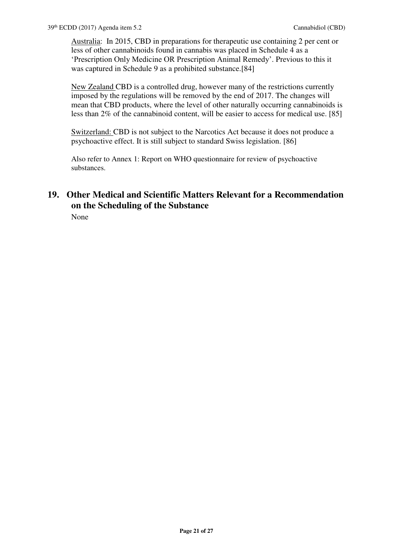Australia: In 2015, CBD in preparations for therapeutic use containing 2 per cent or less of other cannabinoids found in cannabis was placed in Schedule 4 as a 'Prescription Only Medicine OR Prescription Animal Remedy'. Previous to this it was captured in Schedule 9 as a prohibited substance.<sup>[84]</sup>

New Zealand CBD is a controlled drug, however many of the restrictions currently imposed by the regulations will be removed by the end of 2017. The changes will mean that CBD products, where the level of other naturally occurring cannabinoids is less than 2% of the cannabinoid content, will be easier to access for medical use. [85]

Switzerland: CBD is not subject to the Narcotics Act because it does not produce a psychoactive effect. It is still subject to standard Swiss legislation. [86]

Also refer to Annex 1: Report on WHO questionnaire for review of psychoactive substances.

# **19. Other Medical and Scientific Matters Relevant for a Recommendation on the Scheduling of the Substance**

None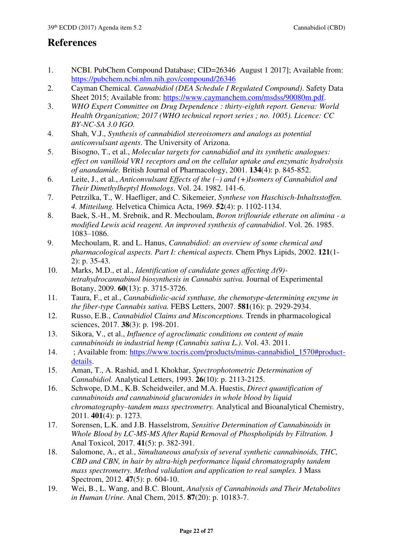## **References**

- 1. NCBI. PubChem Compound Database; CID=26346 August 1 2017]; Available from: <https://pubchem.ncbi.nlm.nih.gov/compound/26346>
- 2. Cayman Chemical. *Cannabidiol (DEA Schedule I Regulated Compound)*. Safety Data Sheet 2015; Available from: [https://www.caymanchem.com/msdss/90080m.pdf.](https://www.caymanchem.com/msdss/90080m.pdf)
- 3. *WHO Expert Committee on Drug Dependence : thirty-eighth report. Geneva: World Health Organization; 2017 (WHO technical report series ; no. 1005). Licence: CC BY-NC-SA 3.0 IGO.*
- 4. Shah, V.J., *Synthesis of cannabidiol stereoisomers and analogs as potential anticonvulsant agents*. The University of Arizona.
- 5. Bisogno, T., et al., *Molecular targets for cannabidiol and its synthetic analogues: effect on vanilloid VR1 receptors and on the cellular uptake and enzymatic hydrolysis of anandamide.* British Journal of Pharmacology, 2001. **134**(4): p. 845-852.
- 6. Leite, J., et al., *Anticonvulsant Effects of the (–) and (+)Isomers of Cannabidiol and Their Dimethylheptyl Homologs*. Vol. 24. 1982. 141-6.
- 7. Petrzilka, T., W. Haefliger, and C. Sikemeier, *Synthese von Haschisch-Inhaltsstoffen. 4. Mitteilung.* Helvetica Chimica Acta, 1969. **52**(4): p. 1102-1134.
- 8. Baek, S.-H., M. Srebnik, and R. Mechoulam, *Boron triflouride etherate on alimina a modified Lewis acid reagent. An improved synthesis of cannabidiol*. Vol. 26. 1985. 1083–1086.
- 9. Mechoulam, R. and L. Hanus, *Cannabidiol: an overview of some chemical and pharmacological aspects. Part I: chemical aspects.* Chem Phys Lipids, 2002. **121**(1- 2): p. 35-43.
- 10. Marks, M.D., et al., *Identification of candidate genes affecting Δ(9) tetrahydrocannabinol biosynthesis in Cannabis sativa.* Journal of Experimental Botany, 2009. **60**(13): p. 3715-3726.
- 11. Taura, F., et al., *Cannabidiolic-acid synthase, the chemotype-determining enzyme in the fiber-type Cannabis sativa.* FEBS Letters, 2007. **581**(16): p. 2929-2934.
- 12. Russo, E.B., *Cannabidiol Claims and Misconceptions.* Trends in pharmacological sciences, 2017. **38**(3): p. 198-201.
- 13. Sikora, V., et al., *Influence of agroclimatic conditions on content of main cannabinoids in industrial hemp (Cannabis sativa L.)*. Vol. 43. 2011.
- 14. ; Available from: [https://www.tocris.com/products/minus-cannabidiol\\_1570#product](https://www.tocris.com/products/minus-cannabidiol_1570#product-details)[details.](https://www.tocris.com/products/minus-cannabidiol_1570#product-details)
- 15. Aman, T., A. Rashid, and I. Khokhar, *Spectrophotometric Determination of Cannabidiol.* Analytical Letters, 1993. **26**(10): p. 2113-2125.
- 16. Schwope, D.M., K.B. Scheidweiler, and M.A. Huestis, *Direct quantification of cannabinoids and cannabinoid glucuronides in whole blood by liquid chromatography–tandem mass spectrometry.* Analytical and Bioanalytical Chemistry, 2011. **401**(4): p. 1273.
- 17. Sorensen, L.K. and J.B. Hasselstrom, *Sensitive Determination of Cannabinoids in Whole Blood by LC-MS-MS After Rapid Removal of Phospholipids by Filtration.* J Anal Toxicol, 2017. **41**(5): p. 382-391.
- 18. Salomone, A., et al., *Simultaneous analysis of several synthetic cannabinoids, THC, CBD and CBN, in hair by ultra-high performance liquid chromatography tandem mass spectrometry. Method validation and application to real samples.* J Mass Spectrom, 2012. **47**(5): p. 604-10.
- 19. Wei, B., L. Wang, and B.C. Blount, *Analysis of Cannabinoids and Their Metabolites in Human Urine.* Anal Chem, 2015. **87**(20): p. 10183-7.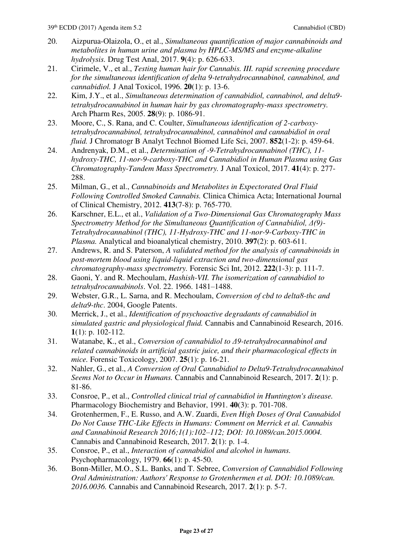- 20. Aizpurua-Olaizola, O., et al., *Simultaneous quantification of major cannabinoids and metabolites in human urine and plasma by HPLC-MS/MS and enzyme-alkaline hydrolysis.* Drug Test Anal, 2017. **9**(4): p. 626-633.
- 21. Cirimele, V., et al., *Testing human hair for Cannabis. III. rapid screening procedure for the simultaneous identification of delta 9-tetrahydrocannabinol, cannabinol, and cannabidiol.* J Anal Toxicol, 1996. **20**(1): p. 13-6.
- 22. Kim, J.Y., et al., *Simultaneous determination of cannabidiol, cannabinol, and delta9 tetrahydrocannabinol in human hair by gas chromatography-mass spectrometry.* Arch Pharm Res, 2005. **28**(9): p. 1086-91.
- 23. Moore, C., S. Rana, and C. Coulter, *Simultaneous identification of 2-carboxytetrahydrocannabinol, tetrahydrocannabinol, cannabinol and cannabidiol in oral fluid.* J Chromatogr B Analyt Technol Biomed Life Sci, 2007. **852**(1-2): p. 459-64.
- 24. Andrenyak, D.M., et al., *Determination of -9-Tetrahydrocannabinol (THC), 11 hydroxy-THC, 11-nor-9-carboxy-THC and Cannabidiol in Human Plasma using Gas Chromatography-Tandem Mass Spectrometry.* J Anal Toxicol, 2017. **41**(4): p. 277- 288.
- 25. Milman, G., et al., *Cannabinoids and Metabolites in Expectorated Oral Fluid Following Controlled Smoked Cannabis.* Clinica Chimica Acta; International Journal of Clinical Chemistry, 2012. **413**(7-8): p. 765-770.
- 26. Karschner, E.L., et al., *Validation of a Two-Dimensional Gas Chromatography Mass Spectrometry Method for the Simultaneous Quantification of Cannabidiol, Δ(9)- Tetrahydrocannabinol (THC), 11-Hydroxy-THC and 11-nor-9-Carboxy-THC in Plasma.* Analytical and bioanalytical chemistry, 2010. **397**(2): p. 603-611.
- 27. Andrews, R. and S. Paterson, *A validated method for the analysis of cannabinoids in post-mortem blood using liquid-liquid extraction and two-dimensional gas chromatography-mass spectrometry.* Forensic Sci Int, 2012. **222**(1-3): p. 111-7.
- 28. Gaoni, Y. and R. Mechoulam, *Hashish-VII. The isomerization of cannabidiol to tetrahydrocannabinols*. Vol. 22. 1966. 1481–1488.
- 29. Webster, G.R., L. Sarna, and R. Mechoulam, *Conversion of cbd to delta8-thc and delta9-thc*. 2004, Google Patents.
- 30. Merrick, J., et al., *Identification of psychoactive degradants of cannabidiol in simulated gastric and physiological fluid.* Cannabis and Cannabinoid Research, 2016. **1**(1): p. 102-112.
- 31. Watanabe, K., et al., *Conversion of cannabidiol to Δ9-tetrahydrocannabinol and related cannabinoids in artificial gastric juice, and their pharmacological effects in mice.* Forensic Toxicology, 2007. **25**(1): p. 16-21.
- 32. Nahler, G., et al., *A Conversion of Oral Cannabidiol to Delta9-Tetrahydrocannabinol Seems Not to Occur in Humans.* Cannabis and Cannabinoid Research, 2017. **2**(1): p. 81-86.
- 33. Consroe, P., et al., *Controlled clinical trial of cannabidiol in Huntington's disease.* Pharmacology Biochemistry and Behavior, 1991. **40**(3): p. 701-708.
- 34. Grotenhermen, F., E. Russo, and A.W. Zuardi, *Even High Doses of Oral Cannabidol Do Not Cause THC-Like Effects in Humans: Comment on Merrick et al. Cannabis and Cannabinoid Research 2016;1(1):102–112; DOI: 10.1089/can.2015.0004.* Cannabis and Cannabinoid Research, 2017. **2**(1): p. 1-4.
- 35. Consroe, P., et al., *Interaction of cannabidiol and alcohol in humans.* Psychopharmacology, 1979. **66**(1): p. 45-50.
- 36. Bonn-Miller, M.O., S.L. Banks, and T. Sebree, *Conversion of Cannabidiol Following Oral Administration: Authors' Response to Grotenhermen et al. DOI: 10.1089/can. 2016.0036.* Cannabis and Cannabinoid Research, 2017. **2**(1): p. 5-7.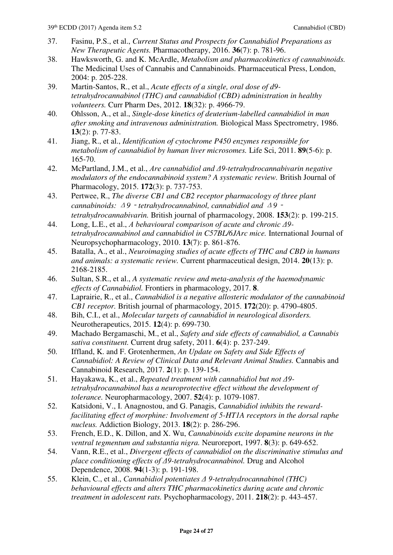- 37. Fasinu, P.S., et al., *Current Status and Prospects for Cannabidiol Preparations as New Therapeutic Agents.* Pharmacotherapy, 2016. **36**(7): p. 781-96.
- 38. Hawksworth, G. and K. McArdle, *Metabolism and pharmacokinetics of cannabinoids.* The Medicinal Uses of Cannabis and Cannabinoids. Pharmaceutical Press, London, 2004: p. 205-228.
- 39. Martin-Santos, R., et al., *Acute effects of a single, oral dose of d9 tetrahydrocannabinol (THC) and cannabidiol (CBD) administration in healthy volunteers.* Curr Pharm Des, 2012. **18**(32): p. 4966-79.
- 40. Ohlsson, A., et al., *Single-dose kinetics of deuterium-labelled cannabidiol in man after smoking and intravenous administration.* Biological Mass Spectrometry, 1986. **13**(2): p. 77-83.
- 41. Jiang, R., et al., *Identification of cytochrome P450 enzymes responsible for metabolism of cannabidiol by human liver microsomes.* Life Sci, 2011. **89**(5-6): p. 165-70.
- 42. McPartland, J.M., et al., *Are cannabidiol and Δ9-tetrahydrocannabivarin negative modulators of the endocannabinoid system? A systematic review.* British Journal of Pharmacology, 2015. **172**(3): p. 737-753.
- 43. Pertwee, R., *The diverse CB1 and CB2 receptor pharmacology of three plant cannabinoids:* Δ*9*‐*tetrahydrocannabinol, cannabidiol and* Δ*9*‐ *tetrahydrocannabivarin.* British journal of pharmacology, 2008. **153**(2): p. 199-215.
- 44. Long, L.E., et al., *A behavioural comparison of acute and chronic Δ9 tetrahydrocannabinol and cannabidiol in C57BL/6JArc mice.* International Journal of Neuropsychopharmacology, 2010. **13**(7): p. 861-876.
- 45. Batalla, A., et al., *Neuroimaging studies of acute effects of THC and CBD in humans and animals: a systematic review.* Current pharmaceutical design, 2014. **20**(13): p. 2168-2185.
- 46. Sultan, S.R., et al., *A systematic review and meta-analysis of the haemodynamic effects of Cannabidiol.* Frontiers in pharmacology, 2017. **8**.
- 47. Laprairie, R., et al., *Cannabidiol is a negative allosteric modulator of the cannabinoid CB1 receptor.* British journal of pharmacology, 2015. **172**(20): p. 4790-4805.
- 48. Bih, C.I., et al., *Molecular targets of cannabidiol in neurological disorders.* Neurotherapeutics, 2015. **12**(4): p. 699-730.
- 49. Machado Bergamaschi, M., et al., *Safety and side effects of cannabidiol, a Cannabis sativa constituent.* Current drug safety, 2011. **6**(4): p. 237-249.
- 50. Iffland, K. and F. Grotenhermen, *An Update on Safety and Side Effects of Cannabidiol: A Review of Clinical Data and Relevant Animal Studies.* Cannabis and Cannabinoid Research, 2017. **2**(1): p. 139-154.
- 51. Hayakawa, K., et al., *Repeated treatment with cannabidiol but not Δ9 tetrahydrocannabinol has a neuroprotective effect without the development of tolerance.* Neuropharmacology, 2007. **52**(4): p. 1079-1087.
- 52. Katsidoni, V., I. Anagnostou, and G. Panagis, *Cannabidiol inhibits the rewardfacilitating effect of morphine: Involvement of 5-HT1A receptors in the dorsal raphe nucleus.* Addiction Biology, 2013. **18**(2): p. 286-296.
- 53. French, E.D., K. Dillon, and X. Wu, *Cannabinoids excite dopamine neurons in the ventral tegmentum and substantia nigra.* Neuroreport, 1997. **8**(3): p. 649-652.
- 54. Vann, R.E., et al., *Divergent effects of cannabidiol on the discriminative stimulus and place conditioning effects of Δ9-tetrahydrocannabinol.* Drug and Alcohol Dependence, 2008. **94**(1-3): p. 191-198.
- 55. Klein, C., et al., *Cannabidiol potentiates Δ 9-tetrahydrocannabinol (THC) behavioural effects and alters THC pharmacokinetics during acute and chronic treatment in adolescent rats.* Psychopharmacology, 2011. **218**(2): p. 443-457.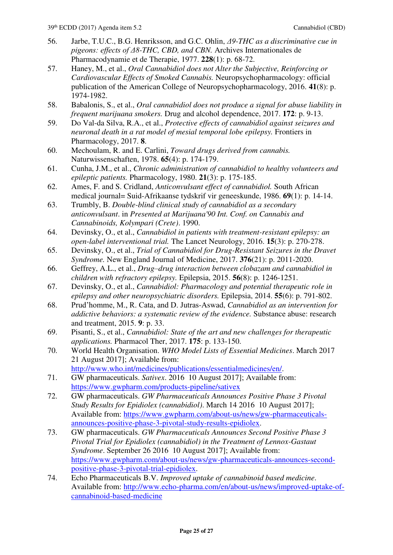- 56. Jarbe, T.U.C., B.G. Henriksson, and G.C. Ohlin, *Δ9-THC as a discriminative cue in pigeons: effects of Δ8-THC, CBD, and CBN.* Archives Internationales de Pharmacodynamie et de Therapie, 1977. **228**(1): p. 68-72.
- 57. Haney, M., et al., *Oral Cannabidiol does not Alter the Subjective, Reinforcing or Cardiovascular Effects of Smoked Cannabis.* Neuropsychopharmacology: official publication of the American College of Neuropsychopharmacology, 2016. **41**(8): p. 1974-1982.
- 58. Babalonis, S., et al., *Oral cannabidiol does not produce a signal for abuse liability in frequent marijuana smokers.* Drug and alcohol dependence, 2017. **172**: p. 9-13.
- 59. Do Val-da Silva, R.A., et al., *Protective effects of cannabidiol against seizures and neuronal death in a rat model of mesial temporal lobe epilepsy.* Frontiers in Pharmacology, 2017. **8**.
- 60. Mechoulam, R. and E. Carlini, *Toward drugs derived from cannabis.* Naturwissenschaften, 1978. **65**(4): p. 174-179.
- 61. Cunha, J.M., et al., *Chronic administration of cannabidiol to healthy volunteers and epileptic patients.* Pharmacology, 1980. **21**(3): p. 175-185.
- 62. Ames, F. and S. Cridland, *Anticonvulsant effect of cannabidiol.* South African medical journal= Suid-Afrikaanse tydskrif vir geneeskunde, 1986. **69**(1): p. 14-14.
- 63. Trumbly, B. *Double-blind clinical study of cannabidiol as a secondary anticonvulsant*. in *Presented at Marijuana'90 Int. Conf. on Cannabis and Cannabinoids, Kolympari (Crete)*. 1990.
- 64. Devinsky, O., et al., *Cannabidiol in patients with treatment-resistant epilepsy: an open-label interventional trial.* The Lancet Neurology, 2016. **15**(3): p. 270-278.
- 65. Devinsky, O., et al., *Trial of Cannabidiol for Drug-Resistant Seizures in the Dravet Syndrome.* New England Journal of Medicine, 2017. **376**(21): p. 2011-2020.
- 66. Geffrey, A.L., et al., *Drug–drug interaction between clobazam and cannabidiol in children with refractory epilepsy.* Epilepsia, 2015. **56**(8): p. 1246-1251.
- 67. Devinsky, O., et al., *Cannabidiol: Pharmacology and potential therapeutic role in epilepsy and other neuropsychiatric disorders.* Epilepsia, 2014. **55**(6): p. 791-802.
- 68. Prud'homme, M., R. Cata, and D. Jutras-Aswad, *Cannabidiol as an intervention for addictive behaviors: a systematic review of the evidence.* Substance abuse: research and treatment, 2015. **9**: p. 33.
- 69. Pisanti, S., et al., *Cannabidiol: State of the art and new challenges for therapeutic applications.* Pharmacol Ther, 2017. **175**: p. 133-150.
- 70. World Health Organisation. *WHO Model Lists of Essential Medicines*. March 2017 21 August 2017]; Available from: [http://www.who.int/medicines/publications/essentialmedicines/en/.](http://www.who.int/medicines/publications/essentialmedicines/en/)
- 71. GW pharmaceuticals. *Sativex*. 2016 10 August 2017]; Available from: <https://www.gwpharm.com/products-pipeline/sativex>
- 72. GW pharmaceuticals. *GW Pharmaceuticals Announces Positive Phase 3 Pivotal Study Results for Epidiolex (cannabidiol)*. March 14 2016 10 August 2017]; Available from: [https://www.gwpharm.com/about-us/news/gw-pharmaceuticals](https://www.gwpharm.com/about-us/news/gw-pharmaceuticals-announces-positive-phase-3-pivotal-study-results-epidiolex)[announces-positive-phase-3-pivotal-study-results-epidiolex.](https://www.gwpharm.com/about-us/news/gw-pharmaceuticals-announces-positive-phase-3-pivotal-study-results-epidiolex)
- 73. GW pharmaceuticals. *GW Pharmaceuticals Announces Second Positive Phase 3 Pivotal Trial for Epidiolex (cannabidiol) in the Treatment of Lennox-Gastaut Syndrome*. September 26 2016 10 August 2017]; Available from: [https://www.gwpharm.com/about-us/news/gw-pharmaceuticals-announces-second](https://www.gwpharm.com/about-us/news/gw-pharmaceuticals-announces-second-positive-phase-3-pivotal-trial-epidiolex)[positive-phase-3-pivotal-trial-epidiolex.](https://www.gwpharm.com/about-us/news/gw-pharmaceuticals-announces-second-positive-phase-3-pivotal-trial-epidiolex)
- 74. Echo Pharmaceuticals B.V. *Improved uptake of cannabinoid based medicine*. Available from: [http://www.echo-pharma.com/en/about-us/news/improved-uptake-of](http://www.echo-pharma.com/en/about-us/news/improved-uptake-of-cannabinoid-based-medicine)[cannabinoid-based-medicine](http://www.echo-pharma.com/en/about-us/news/improved-uptake-of-cannabinoid-based-medicine)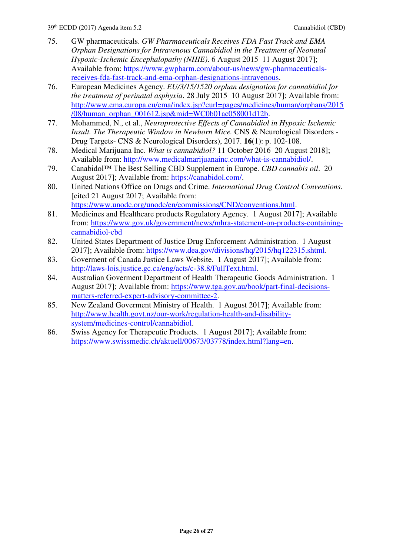- 75. GW pharmaceuticals. *GW Pharmaceuticals Receives FDA Fast Track and EMA Orphan Designations for Intravenous Cannabidiol in the Treatment of Neonatal Hypoxic-Ischemic Encephalopathy (NHIE)*. 6 August 2015 11 August 2017]; Available from: [https://www.gwpharm.com/about-us/news/gw-pharmaceuticals](https://www.gwpharm.com/about-us/news/gw-pharmaceuticals-receives-fda-fast-track-and-ema-orphan-designations-intravenous)[receives-fda-fast-track-and-ema-orphan-designations-intravenous.](https://www.gwpharm.com/about-us/news/gw-pharmaceuticals-receives-fda-fast-track-and-ema-orphan-designations-intravenous)
- 76. European Medicines Agency. *EU/3/15/1520 orphan designation for cannabidiol for the treatment of perinatal asphyxia*. 28 July 2015 10 August 2017]; Available from: [http://www.ema.europa.eu/ema/index.jsp?curl=pages/medicines/human/orphans/2015](http://www.ema.europa.eu/ema/index.jsp?curl=pages/medicines/human/orphans/2015/08/human_orphan_001612.jsp&mid=WC0b01ac058001d12b) [/08/human\\_orphan\\_001612.jsp&mid=WC0b01ac058001d12b.](http://www.ema.europa.eu/ema/index.jsp?curl=pages/medicines/human/orphans/2015/08/human_orphan_001612.jsp&mid=WC0b01ac058001d12b)
- 77. Mohammed, N., et al., *Neuroprotective Effects of Cannabidiol in Hypoxic Ischemic Insult. The Therapeutic Window in Newborn Mice.* CNS & Neurological Disorders - Drug Targets- CNS & Neurological Disorders), 2017. **16**(1): p. 102-108.
- 78. Medical Marijuana Inc. *What is cannabidiol?* 11 October 2016 20 August 2018]; Available from: [http://www.medicalmarijuanainc.com/what-is-cannabidiol/.](http://www.medicalmarijuanainc.com/what-is-cannabidiol/)
- 79. Canabidol™ The Best Selling CBD Supplement in Europe. *CBD cannabis oil*. 20 August 2017]; Available from: [https://canabidol.com/.](https://canabidol.com/)
- 80. United Nations Office on Drugs and Crime. *International Drug Control Conventions*. [cited 21 August 2017; Available from: [https://www.unodc.org/unodc/en/commissions/CND/conventions.html.](https://www.unodc.org/unodc/en/commissions/CND/conventions.html)
- 81. Medicines and Healthcare products Regulatory Agency. 1 August 2017]; Available from: [https://www.gov.uk/government/news/mhra-statement-on-products-containing](https://www.gov.uk/government/news/mhra-statement-on-products-containing-cannabidiol-cbd)[cannabidiol-cbd](https://www.gov.uk/government/news/mhra-statement-on-products-containing-cannabidiol-cbd)
- 82. United States Department of Justice Drug Enforcement Administration. 1 August 2017]; Available from: [https://www.dea.gov/divisions/hq/2015/hq122315.shtml.](https://www.dea.gov/divisions/hq/2015/hq122315.shtml)
- 83. Goverment of Canada Justice Laws Website. 1 August 2017]; Available from: [http://laws-lois.justice.gc.ca/eng/acts/c-38.8/FullText.html.](http://laws-lois.justice.gc.ca/eng/acts/c-38.8/FullText.html)
- 84. Australian Goverment Department of Health Therapeutic Goods Administration. 1 August 2017]; Available from: [https://www.tga.gov.au/book/part-final-decisions](https://www.tga.gov.au/book/part-final-decisions-matters-referred-expert-advisory-committee-2)[matters-referred-expert-advisory-committee-2.](https://www.tga.gov.au/book/part-final-decisions-matters-referred-expert-advisory-committee-2)
- 85. New Zealand Goverment Ministry of Health. 1 August 2017]; Available from: [http://www.health.govt.nz/our-work/regulation-health-and-disability](http://www.health.govt.nz/our-work/regulation-health-and-disability-system/medicines-control/cannabidiol)[system/medicines-control/cannabidiol.](http://www.health.govt.nz/our-work/regulation-health-and-disability-system/medicines-control/cannabidiol)
- 86. Swiss Agency for Therapeutic Products. 1 August 2017]; Available from: [https://www.swissmedic.ch/aktuell/00673/03778/index.html?lang=en.](https://www.swissmedic.ch/aktuell/00673/03778/index.html?lang=en)